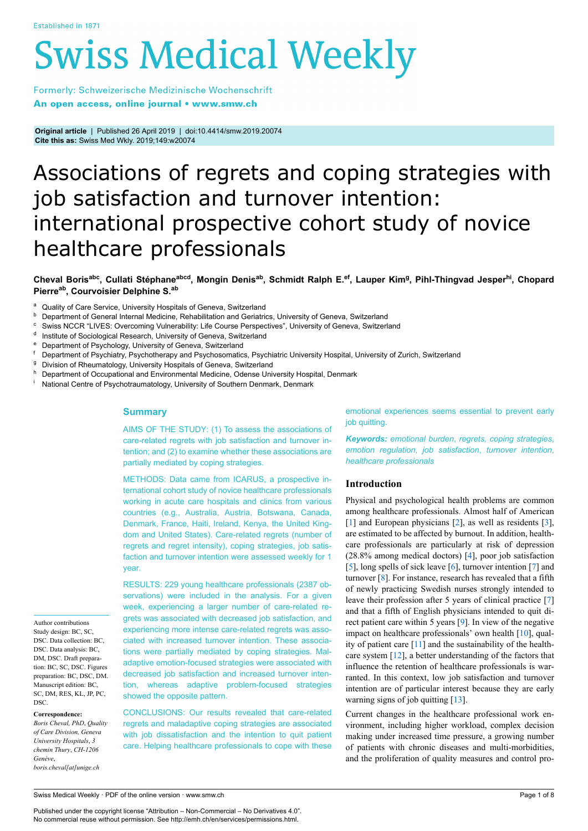# **Swiss Medical Weekly**

Formerly: Schweizerische Medizinische Wochenschrift An open access, online journal • www.smw.ch

**Original article** | Published 26 April 2019 | doi:10.4414/smw.2019.20074 **Cite this as:** Swiss Med Wkly. 2019;149:w20074

# Associations of regrets and coping strategies with job satisfaction and turnover intention: international prospective cohort study of novice healthcare professionals

# Cheval Boris<sup>abc</sup>, Cullati Stéphane<sup>abcd</sup>, Mongin Denis<sup>ab</sup>, Schmidt Ralph E.<sup>ef</sup>, Lauper Kim<sup>g</sup>, Pihl-Thingvad Jesper<sup>hi</sup>, Chopard **Pierreab , Courvoisier Delphine S.ab**

- <sup>a</sup> Quality of Care Service, University Hospitals of Geneva, Switzerland
- **b** Department of General Internal Medicine, Rehabilitation and Geriatrics, University of Geneva, Switzerland
- <sup>c</sup> Swiss NCCR "LIVES: Overcoming Vulnerability: Life Course Perspectives", University of Geneva, Switzerland
- d Institute of Sociological Research, University of Geneva, Switzerland
- <sup>e</sup> Department of Psychology, University of Geneva, Switzerland
- Department of Psychiatry, Psychotherapy and Psychosomatics, Psychiatric University Hospital, University of Zurich, Switzerland
- <sup>g</sup> Division of Rheumatology, University Hospitals of Geneva, Switzerland
- h Department of Occupational and Environmental Medicine, Odense University Hospital, Denmark
- <sup>i</sup> National Centre of Psychotraumatology, University of Southern Denmark, Denmark

# **Summary**

AIMS OF THE STUDY: (1) To assess the associations of care-related regrets with job satisfaction and turnover intention; and (2) to examine whether these associations are partially mediated by coping strategies.

METHODS: Data came from ICARUS, a prospective international cohort study of novice healthcare professionals working in acute care hospitals and clinics from various countries (e.g., Australia, Austria, Botswana, Canada, Denmark, France, Haiti, Ireland, Kenya, the United Kingdom and United States). Care-related regrets (number of regrets and regret intensity), coping strategies, job satisfaction and turnover intention were assessed weekly for 1 year.

RESULTS: 229 young healthcare professionals (2387 ob-

servations) were included in the analysis. For a given week, experiencing a larger number of care-related regrets was associated with decreased job satisfaction, and experiencing more intense care-related regrets was associated with increased turnover intention. These associations were partially mediated by coping strategies. Maladaptive emotion-focused strategies were associated with decreased job satisfaction and increased turnover intention, whereas adaptive problem-focused strategies showed the opposite pattern. Author contributions Study design: BC, SC,

> CONCLUSIONS: Our results revealed that care-related regrets and maladaptive coping strategies are associated with job dissatisfaction and the intention to quit patient care. Helping healthcare professionals to cope with these

emotional experiences seems essential to prevent early job quitting.

*Keywords: emotional burden*, *regrets, coping strategies*, *emotion regulation*, *job satisfaction*, *turnover intention*, *healthcare professionals*

# **Introduction**

Physical and psychological health problems are common among healthcare professionals. Almost half of American [\[1\]](#page-6-0) and European physicians [\[2\]](#page-6-1), as well as residents [[3](#page-6-2)], are estimated to be affected by burnout. In addition, healthcare professionals are particularly at risk of depression (28.8% among medical doctors) [[4](#page-6-3)], poor job satisfaction [\[5\]](#page-6-4), long spells of sick leave [[6](#page-6-5)], turnover intention [[7](#page-6-6)] and turnover [[8](#page-6-7)]. For instance, research has revealed that a fifth of newly practicing Swedish nurses strongly intended to leave their profession after 5 years of clinical practice [[7](#page-6-6)] and that a fifth of English physicians intended to quit direct patient care within 5 years [\[9\]](#page-6-8). In view of the negative impact on healthcare professionals' own health [\[10](#page-6-9)], quality of patient care  $[11]$  $[11]$  and the sustainability of the healthcare system [[12\]](#page-6-11), a better understanding of the factors that influence the retention of healthcare professionals is warranted. In this context, low job satisfaction and turnover intention are of particular interest because they are early warning signs of job quitting [\[13](#page-6-12)].

Current changes in the healthcare professional work environment, including higher workload, complex decision making under increased time pressure, a growing number of patients with chronic diseases and multi-morbidities, and the proliferation of quality measures and control pro-

DSC. Data collection: BC, DSC. Data analysis: BC, DM, DSC. Draft preparation: BC, SC, DSC. Figures preparation: BC, DSC, DM. Manuscript edition: BC, SC, DM, RES, KL, JP, PC, DSC. **Correspondence:**

*Boris Cheval, PhD*, *Quality of Care Division, Geneva University Hospitals*, *3 chemin Thury*, *CH-1206 Genève*, *boris.cheval[at]unige.ch*

Swiss Medical Weekly · PDF of the online version · www.smw.ch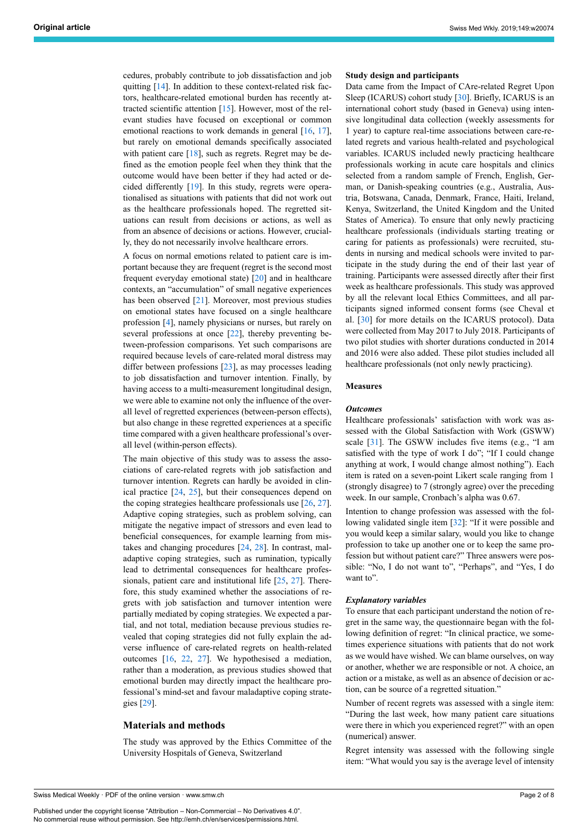cedures, probably contribute to job dissatisfaction and job quitting [\[14](#page-6-13)]. In addition to these context-related risk factors, healthcare-related emotional burden has recently attracted scientific attention [[15\]](#page-6-14). However, most of the relevant studies have focused on exceptional or common emotional reactions to work demands in general  $[16, 17]$  $[16, 17]$  $[16, 17]$  $[16, 17]$ , but rarely on emotional demands specifically associated with patient care  $[18]$  $[18]$ , such as regrets. Regret may be defined as the emotion people feel when they think that the outcome would have been better if they had acted or decided differently [[19\]](#page-7-3). In this study, regrets were operationalised as situations with patients that did not work out as the healthcare professionals hoped. The regretted situations can result from decisions or actions, as well as from an absence of decisions or actions. However, crucially, they do not necessarily involve healthcare errors.

A focus on normal emotions related to patient care is important because they are frequent (regret is the second most frequent everyday emotional state) [\[20](#page-7-4)] and in healthcare contexts, an "accumulation" of small negative experiences has been observed [\[21](#page-7-5)]. Moreover, most previous studies on emotional states have focused on a single healthcare profession [[4](#page-6-3)], namely physicians or nurses, but rarely on several professions at once [\[22](#page-7-6)], thereby preventing between-profession comparisons. Yet such comparisons are required because levels of care-related moral distress may differ between professions [[23\]](#page-7-7), as may processes leading to job dissatisfaction and turnover intention. Finally, by having access to a multi-measurement longitudinal design, we were able to examine not only the influence of the overall level of regretted experiences (between-person effects), but also change in these regretted experiences at a specific time compared with a given healthcare professional's overall level (within-person effects).

The main objective of this study was to assess the associations of care-related regrets with job satisfaction and turnover intention. Regrets can hardly be avoided in clinical practice [\[24](#page-7-8), [25](#page-7-9)], but their consequences depend on the coping strategies healthcare professionals use  $[26, 27]$  $[26, 27]$  $[26, 27]$ . Adaptive coping strategies, such as problem solving, can mitigate the negative impact of stressors and even lead to beneficial consequences, for example learning from mistakes and changing procedures [[24,](#page-7-8) [28\]](#page-7-12). In contrast, maladaptive coping strategies, such as rumination, typically lead to detrimental consequences for healthcare professionals, patient care and institutional life [\[25](#page-7-9), [27\]](#page-7-11). Therefore, this study examined whether the associations of regrets with job satisfaction and turnover intention were partially mediated by coping strategies. We expected a partial, and not total, mediation because previous studies revealed that coping strategies did not fully explain the adverse influence of care-related regrets on health-related outcomes [\[16](#page-7-0), [22,](#page-7-6) [27](#page-7-11)]. We hypothesised a mediation, rather than a moderation, as previous studies showed that emotional burden may directly impact the healthcare professional's mind-set and favour maladaptive coping strategies [\[29](#page-7-13)].

# **Materials and methods**

The study was approved by the Ethics Committee of the University Hospitals of Geneva, Switzerland

# **Study design and participants**

Data came from the Impact of CAre-related Regret Upon Sleep (ICARUS) cohort study [\[30](#page-7-14)]. Briefly, ICARUS is an international cohort study (based in Geneva) using intensive longitudinal data collection (weekly assessments for 1 year) to capture real-time associations between care-related regrets and various health-related and psychological variables. ICARUS included newly practicing healthcare professionals working in acute care hospitals and clinics selected from a random sample of French, English, German, or Danish-speaking countries (e.g., Australia, Austria, Botswana, Canada, Denmark, France, Haiti, Ireland, Kenya, Switzerland, the United Kingdom and the United States of America). To ensure that only newly practicing healthcare professionals (individuals starting treating or caring for patients as professionals) were recruited, students in nursing and medical schools were invited to participate in the study during the end of their last year of training. Participants were assessed directly after their first week as healthcare professionals. This study was approved by all the relevant local Ethics Committees, and all participants signed informed consent forms (see Cheval et al. [\[30](#page-7-14)] for more details on the ICARUS protocol). Data were collected from May 2017 to July 2018. Participants of two pilot studies with shorter durations conducted in 2014 and 2016 were also added. These pilot studies included all healthcare professionals (not only newly practicing).

# **Measures**

#### *Outcomes*

Healthcare professionals' satisfaction with work was assessed with the Global Satisfaction with Work (GSWW) scale [[31\]](#page-7-15). The GSWW includes five items (e.g., "I am satisfied with the type of work I do"; "If I could change anything at work, I would change almost nothing"). Each item is rated on a seven-point Likert scale ranging from 1 (strongly disagree) to 7 (strongly agree) over the preceding week. In our sample, Cronbach's alpha was 0.67.

Intention to change profession was assessed with the following validated single item [[32\]](#page-7-16): "If it were possible and you would keep a similar salary, would you like to change profession to take up another one or to keep the same profession but without patient care?" Three answers were possible: "No, I do not want to", "Perhaps", and "Yes, I do want to".

# *Explanatory variables*

To ensure that each participant understand the notion of regret in the same way, the questionnaire began with the following definition of regret: "In clinical practice, we sometimes experience situations with patients that do not work as we would have wished. We can blame ourselves, on way or another, whether we are responsible or not. A choice, an action or a mistake, as well as an absence of decision or action, can be source of a regretted situation."

Number of recent regrets was assessed with a single item: "During the last week, how many patient care situations were there in which you experienced regret?" with an open (numerical) answer.

Regret intensity was assessed with the following single item: "What would you say is the average level of intensity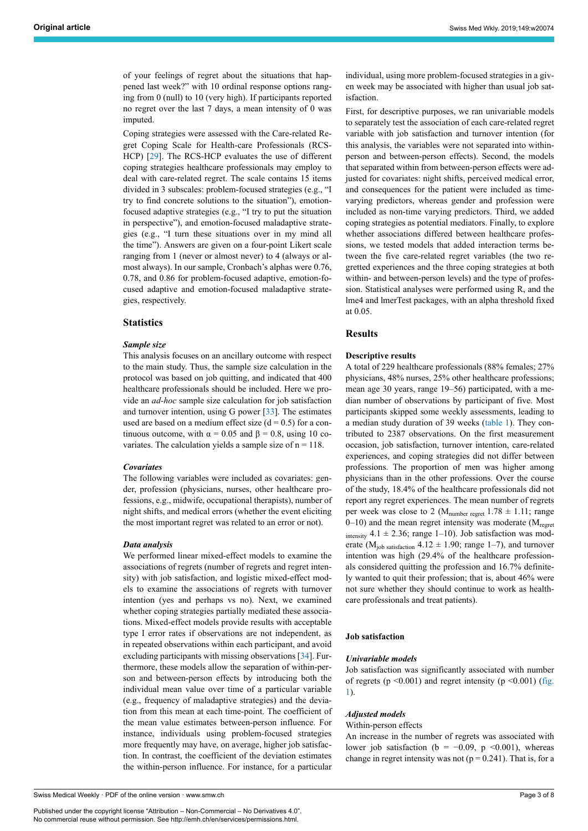of your feelings of regret about the situations that happened last week?" with 10 ordinal response options ranging from 0 (null) to 10 (very high). If participants reported no regret over the last 7 days, a mean intensity of 0 was imputed.

Coping strategies were assessed with the Care-related Regret Coping Scale for Health-care Professionals (RCS-HCP) [[29\]](#page-7-13). The RCS-HCP evaluates the use of different coping strategies healthcare professionals may employ to deal with care-related regret. The scale contains 15 items divided in 3 subscales: problem-focused strategies (e.g., "I try to find concrete solutions to the situation"), emotionfocused adaptive strategies (e.g., "I try to put the situation in perspective"), and emotion-focused maladaptive strategies (e.g., "I turn these situations over in my mind all the time"). Answers are given on a four-point Likert scale ranging from 1 (never or almost never) to 4 (always or almost always). In our sample, Cronbach's alphas were 0.76, 0.78, and 0.86 for problem-focused adaptive, emotion-focused adaptive and emotion-focused maladaptive strategies, respectively.

# **Statistics**

#### *Sample size*

This analysis focuses on an ancillary outcome with respect to the main study. Thus, the sample size calculation in the protocol was based on job quitting, and indicated that 400 healthcare professionals should be included. Here we provide an *ad-hoc* sample size calculation for job satisfaction and turnover intention, using G power [\[33](#page-7-3)]. The estimates used are based on a medium effect size  $(d = 0.5)$  for a continuous outcome, with  $\alpha = 0.05$  and  $\beta = 0.8$ , using 10 covariates. The calculation yields a sample size of  $n = 118$ .

#### *Covariates*

The following variables were included as covariates: gender, profession (physicians, nurses, other healthcare professions, e.g., midwife, occupational therapists), number of night shifts, and medical errors (whether the event eliciting the most important regret was related to an error or not).

#### *Data analysis*

We performed linear mixed-effect models to examine the associations of regrets (number of regrets and regret intensity) with job satisfaction, and logistic mixed-effect models to examine the associations of regrets with turnover intention (yes and perhaps vs no). Next, we examined whether coping strategies partially mediated these associations. Mixed-effect models provide results with acceptable type I error rates if observations are not independent, as in repeated observations within each participant, and avoid excluding participants with missing observations [\[34](#page-7-17)]. Furthermore, these models allow the separation of within-person and between-person effects by introducing both the individual mean value over time of a particular variable (e.g., frequency of maladaptive strategies) and the deviation from this mean at each time-point. The coefficient of the mean value estimates between-person influence. For instance, individuals using problem-focused strategies more frequently may have, on average, higher job satisfaction. In contrast, the coefficient of the deviation estimates the within-person influence. For instance, for a particular

Swiss Medical Weekly · PDF of the online version · www.smw.ch

Published under the copyright license "Attribution – Non-Commercial – No Derivatives 4.0". No commercial reuse without permission. See http://emh.ch/en/services/permissions.html.

individual, using more problem-focused strategies in a given week may be associated with higher than usual job satisfaction.

First, for descriptive purposes, we ran univariable models to separately test the association of each care-related regret variable with job satisfaction and turnover intention (for this analysis, the variables were not separated into withinperson and between-person effects). Second, the models that separated within from between-person effects were adjusted for covariates: night shifts, perceived medical error, and consequences for the patient were included as timevarying predictors, whereas gender and profession were included as non-time varying predictors. Third, we added coping strategies as potential mediators. Finally, to explore whether associations differed between healthcare professions, we tested models that added interaction terms between the five care-related regret variables (the two regretted experiences and the three coping strategies at both within- and between-person levels) and the type of profession. Statistical analyses were performed using R, and the lme4 and lmerTest packages, with an alpha threshold fixed at 0.05.

# **Results**

# **Descriptive results**

A total of 229 healthcare professionals (88% females; 27% physicians, 48% nurses, 25% other healthcare professions; mean age 30 years, range 19–56) participated, with a median number of observations by participant of five. Most participants skipped some weekly assessments, leading to a median study duration of 39 weeks [\(table 1](#page-3-0)). They contributed to 2387 observations. On the first measurement occasion, job satisfaction, turnover intention, care-related experiences, and coping strategies did not differ between professions. The proportion of men was higher among physicians than in the other professions. Over the course of the study, 18.4% of the healthcare professionals did not report any regret experiences. The mean number of regrets per week was close to 2 (M<sub>number regret</sub>  $1.78 \pm 1.11$ ; range  $0-10$ ) and the mean regret intensity was moderate ( $M_{\text{regret}}$ intensity 4.1  $\pm$  2.36; range 1–10). Job satisfaction was moderate ( $M_{\text{job satisfaction}}$  4.12  $\pm$  1.90; range 1–7), and turnover intention was high (29.4% of the healthcare professionals considered quitting the profession and 16.7% definitely wanted to quit their profession; that is, about 46% were not sure whether they should continue to work as healthcare professionals and treat patients).

#### **Job satisfaction**

#### *Univariable models*

Job satisfaction was significantly associated with number of regrets ( $p \le 0.001$ ) and regret intensity ( $p \le 0.001$ ) [\(fig.](#page-4-0) [1\)](#page-4-0).

#### *Adjusted models*

#### Within-person effects

An increase in the number of regrets was associated with lower job satisfaction (b =  $-0.09$ , p <0.001), whereas change in regret intensity was not ( $p = 0.241$ ). That is, for a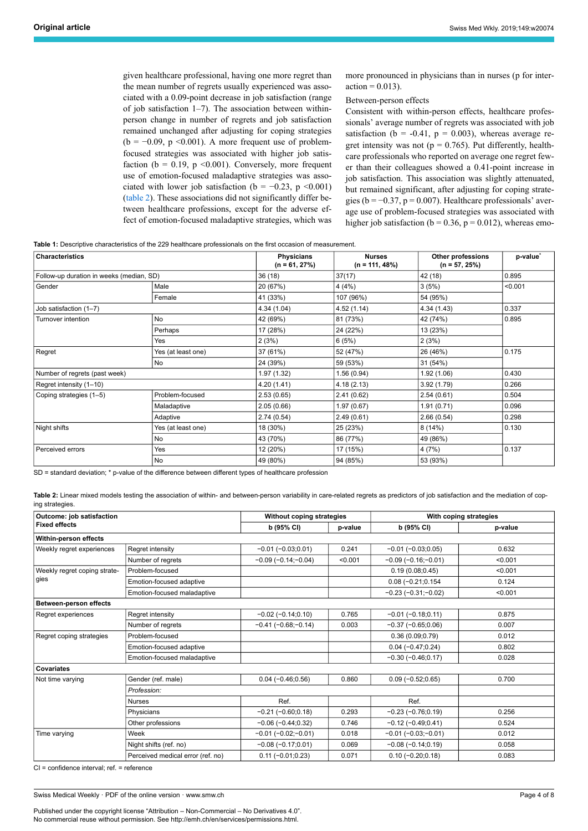given healthcare professional, having one more regret than the mean number of regrets usually experienced was associated with a 0.09-point decrease in job satisfaction (range of job satisfaction 1–7). The association between withinperson change in number of regrets and job satisfaction remained unchanged after adjusting for coping strategies  $(b = -0.09, p \le 0.001)$ . A more frequent use of problemfocused strategies was associated with higher job satisfaction ( $b = 0.19$ ,  $p \le 0.001$ ). Conversely, more frequent use of emotion-focused maladaptive strategies was associated with lower job satisfaction (b =  $-0.23$ , p <0.001) ([table 2\)](#page-3-1). These associations did not significantly differ between healthcare professions, except for the adverse effect of emotion-focused maladaptive strategies, which was more pronounced in physicians than in nurses (p for inter $action = 0.013$ ).

# Between-person effects

Consistent with within-person effects, healthcare professionals' average number of regrets was associated with job satisfaction ( $b = -0.41$ ,  $p = 0.003$ ), whereas average regret intensity was not ( $p = 0.765$ ). Put differently, healthcare professionals who reported on average one regret fewer than their colleagues showed a 0.41-point increase in job satisfaction. This association was slightly attenuated, but remained significant, after adjusting for coping strategies ( $b = -0.37$ ,  $p = 0.007$ ). Healthcare professionals' average use of problem-focused strategies was associated with higher job satisfaction ( $b = 0.36$ ,  $p = 0.012$ ), whereas emo-

<span id="page-3-0"></span>**Table 1:** Descriptive characteristics of the 229 healthcare professionals on the first occasion of measurement.

| Characteristics                          |                    | <b>Physicians</b><br>$(n = 61, 27%)$ | <b>Nurses</b><br>$(n = 111, 48\%)$ | Other professions<br>$(n = 57, 25%)$ | p-value <sup>*</sup><br>0.895 |  |
|------------------------------------------|--------------------|--------------------------------------|------------------------------------|--------------------------------------|-------------------------------|--|
| Follow-up duration in weeks (median, SD) |                    | 36(18)                               | 37(17)                             | 42 (18)                              |                               |  |
| Gender                                   | Male               | 20 (67%)                             | 4(4%)                              | 3(5%)                                | < 0.001                       |  |
|                                          | Female             | 41 (33%)                             | 107 (96%)                          | 54 (95%)                             |                               |  |
| Job satisfaction (1-7)                   |                    | 4.34 (1.04)                          | 4.52(1.14)                         | 4.34(1.43)                           | 0.337                         |  |
| Turnover intention                       | <b>No</b>          | 42 (69%)                             | 81 (73%)                           | 42 (74%)                             | 0.895                         |  |
|                                          | Perhaps            | 17 (28%)                             | 24 (22%)                           | 13 (23%)                             |                               |  |
|                                          | Yes                | 2(3%)                                | 6(5%)                              | 2(3%)                                |                               |  |
| Regret                                   | Yes (at least one) | 37 (61%)                             | 52 (47%)                           | 26 (46%)                             | 0.175                         |  |
|                                          | <b>No</b>          | 24 (39%)                             | 59 (53%)                           | 31 (54%)                             |                               |  |
| Number of regrets (past week)            |                    | 1.97(1.32)                           | 1.56(0.94)                         | 1.92(1.06)                           | 0.430                         |  |
| Regret intensity (1-10)                  |                    | 4.20 (1.41)                          | 4.18(2.13)                         | 3.92(1.79)                           | 0.266                         |  |
| Coping strategies (1-5)                  | Problem-focused    | 2.53(0.65)                           | 2.41(0.62)                         | 2.54(0.61)                           | 0.504                         |  |
|                                          | Maladaptive        | 2.05(0.66)                           | 1.97(0.67)                         | 1.91(0.71)                           | 0.096                         |  |
|                                          | Adaptive           | 2.74(0.54)                           | 2.49(0.61)                         | 2.66(0.54)                           | 0.298                         |  |
| Night shifts                             | Yes (at least one) | 18 (30%)                             | 25 (23%)                           | 8(14%)                               | 0.130                         |  |
|                                          | <b>No</b>          | 43 (70%)                             | 86 (77%)                           | 49 (86%)                             |                               |  |
| Perceived errors                         | Yes                | 12 (20%)                             | 17 (15%)                           | 4(7%)                                | 0.137                         |  |
|                                          | No                 | 49 (80%)                             | 94 (85%)                           | 53 (93%)                             |                               |  |

SD = standard deviation; \* p-value of the difference between different types of healthcare profession

<span id="page-3-1"></span>**Table 2:** Linear mixed models testing the association of within- and between-person variability in care-related regrets as predictors of job satisfaction and the mediation of coping strategies.

| Outcome: job satisfaction<br><b>Fixed effects</b> |                                   | Without coping strategies |         | With coping strategies        |         |  |  |
|---------------------------------------------------|-----------------------------------|---------------------------|---------|-------------------------------|---------|--|--|
|                                                   |                                   | b (95% CI)                | p-value | b (95% CI)                    | p-value |  |  |
| Within-person effects                             |                                   |                           |         |                               |         |  |  |
| Weekly regret experiences                         | Regret intensity                  | $-0.01(-0.03;0.01)$       | 0.241   | $-0.01(-0.03;0.05)$           | 0.632   |  |  |
|                                                   | Number of regrets                 | $-0.09(-0.14,-0.04)$      | < 0.001 | $-0.09(-0.16,-0.01)$          | < 0.001 |  |  |
| Weekly regret coping strate-<br>gies              | Problem-focused                   |                           |         | 0.19(0.08;0.45)               | < 0.001 |  |  |
|                                                   | Emotion-focused adaptive          |                           |         | $0.08 (-0.21; 0.154)$         | 0.124   |  |  |
|                                                   | Emotion-focused maladaptive       |                           |         | $-0.23$ ( $-0.31$ ; $-0.02$ ) | < 0.001 |  |  |
| <b>Between-person effects</b>                     |                                   |                           |         |                               |         |  |  |
| Regret experiences                                | Regret intensity                  | $-0.02$ ( $-0.14;0.10$ )  | 0.765   | $-0.01(-0.18;0.11)$           | 0.875   |  |  |
|                                                   | Number of regrets                 | $-0.41(-0.68,-0.14)$      | 0.003   | $-0.37$ ( $-0.65;0.06$ )      | 0.007   |  |  |
| Regret coping strategies                          | Problem-focused                   |                           |         | 0.36(0.09;0.79)               | 0.012   |  |  |
|                                                   | Emotion-focused adaptive          |                           |         | $0.04 (-0.47; 0.24)$          | 0.802   |  |  |
|                                                   | Emotion-focused maladaptive       |                           |         | $-0.30(-0.46;0.17)$           | 0.028   |  |  |
| <b>Covariates</b>                                 |                                   |                           |         |                               |         |  |  |
| Not time varying                                  | Gender (ref. male)                | $0.04 (-0.46; 0.56)$      | 0.860   | $0.09(-0.52;0.65)$            | 0.700   |  |  |
|                                                   | Profession:                       |                           |         |                               |         |  |  |
|                                                   | <b>Nurses</b>                     | Ref.                      |         | Ref.                          |         |  |  |
|                                                   | Physicians                        | $-0.21(-0.60;0.18)$       | 0.293   | $-0.23(-0.76;0.19)$           | 0.256   |  |  |
|                                                   | Other professions                 | $-0.06$ ( $-0.44;0.32$ )  | 0.746   | $-0.12$ ( $-0.49;0.41$ )      | 0.524   |  |  |
| Time varying                                      | Week                              | $-0.01(-0.02,-0.01)$      | 0.018   | $-0.01(-0.03,-0.01)$          | 0.012   |  |  |
|                                                   | Night shifts (ref. no)            | $-0.08(-0.17;0.01)$       | 0.069   | $-0.08(-0.14;0.19)$           | 0.058   |  |  |
|                                                   | Perceived medical error (ref. no) | $0.11 (-0.01; 0.23)$      | 0.071   | $0.10 (-0.20; 0.18)$          | 0.083   |  |  |

CI = confidence interval; ref. = reference

Swiss Medical Weekly · PDF of the online version · www.smw.ch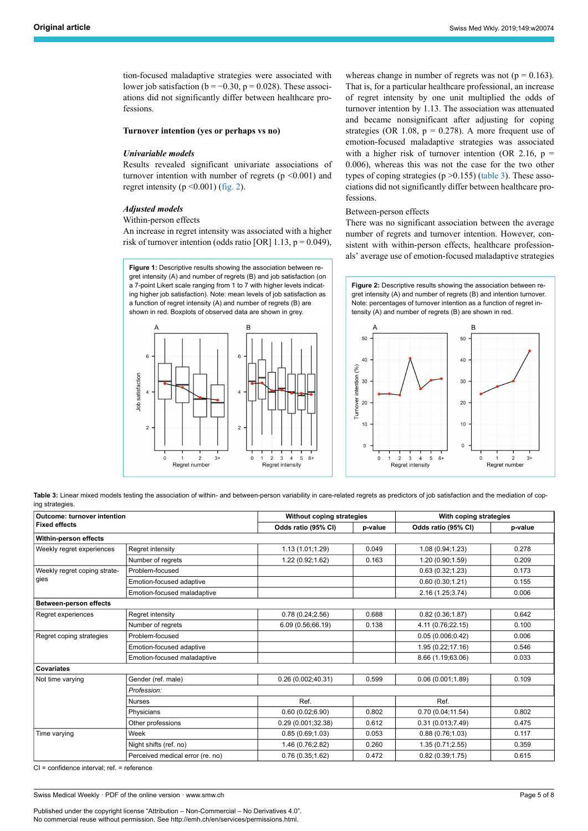tion-focused maladaptive strategies were associated with lower job satisfaction ( $b = -0.30$ ,  $p = 0.028$ ). These associations did not significantly differ between healthcare professions.

#### **Turnover intention (yes or perhaps vs no)**

#### *Univariable models*

Results revealed significant univariate associations of turnover intention with number of regrets  $(p \le 0.001)$  and regret intensity ( $p \le 0.001$ ) ([fig. 2\)](#page-4-1).

# *Adjusted models*

# Within-person effects

<span id="page-4-0"></span>An increase in regret intensity was associated with a higher risk of turnover intention (odds ratio [OR]  $1.13$ ,  $p = 0.049$ ),

**Figure 1:** Descriptive results showing the association between regret intensity (A) and number of regrets (B) and job satisfaction (on a 7-point Likert scale ranging from 1 to 7 with higher levels indicating higher job satisfaction). Note: mean levels of job satisfaction as a function of regret intensity (A) and number of regrets (B) are shown in red. Boxplots of observed data are shown in grey.

<span id="page-4-1"></span>

whereas change in number of regrets was not ( $p = 0.163$ ). That is, for a particular healthcare professional, an increase of regret intensity by one unit multiplied the odds of turnover intention by 1.13. The association was attenuated and became nonsignificant after adjusting for coping strategies (OR 1.08,  $p = 0.278$ ). A more frequent use of emotion-focused maladaptive strategies was associated with a higher risk of turnover intention (OR 2.16,  $p =$ 0.006), whereas this was not the case for the two other types of coping strategies ( $p > 0.155$ ) [\(table 3\)](#page-4-2). These associations did not significantly differ between healthcare professions.

# Between-person effects

There was no significant association between the average number of regrets and turnover intention. However, consistent with within-person effects, healthcare professionals' average use of emotion-focused maladaptive strategies

**Figure 2:** Descriptive results showing the association between regret intensity (A) and number of regrets (B) and intention turnover. Note: percentages of turnover intention as a function of regret intensity (A) and number of regrets (B) are shown in red.



<span id="page-4-2"></span>Table 3: Linear mixed models testing the association of within- and between-person variability in care-related regrets as predictors of job satisfaction and the mediation of coping strategies.

| <b>Outcome: turnover intention</b><br><b>Fixed effects</b> |                                  | Without coping strategies |         | With coping strategies |         |
|------------------------------------------------------------|----------------------------------|---------------------------|---------|------------------------|---------|
|                                                            |                                  | Odds ratio (95% CI)       | p-value | Odds ratio (95% CI)    | p-value |
| Within-person effects                                      |                                  |                           |         |                        |         |
| Weekly regret experiences                                  | Regret intensity                 | 1.13(1.01;1.29)           | 0.049   | 1.08 (0.94;1.23)       | 0.278   |
|                                                            | Number of regrets                | 1.22 (0.92;1.62)          | 0.163   | 1.20 (0.90;1.59)       | 0.209   |
| Weekly regret coping strate-<br>gies                       | Problem-focused                  |                           |         | 0.63(0.32;1.23)        | 0.173   |
|                                                            | Emotion-focused adaptive         |                           |         | 0.60(0.30;1.21)        | 0.155   |
|                                                            | Emotion-focused maladaptive      |                           |         | 2.16 (1.25;3.74)       | 0.006   |
| <b>Between-person effects</b>                              |                                  |                           |         |                        |         |
| Regret experiences                                         | Regret intensity                 | 0.78(0.24;2.56)           | 0.688   | 0.82(0.36;1.87)        | 0.642   |
|                                                            | Number of regrets                | 6.09 (0.56;66.19)         | 0.138   | 4.11 (0.76;22.15)      | 0.100   |
| Regret coping strategies                                   | Problem-focused                  |                           |         | 0.05(0.006;0.42)       | 0.006   |
|                                                            | Emotion-focused adaptive         |                           |         | 1.95 (0.22;17.16)      | 0.546   |
|                                                            | Emotion-focused maladaptive      |                           |         | 8.66 (1.19;63.06)      | 0.033   |
| <b>Covariates</b>                                          |                                  |                           |         |                        |         |
| Not time varying                                           | Gender (ref. male)               | 0.26(0.002;40.31)         | 0.599   | 0.06(0.001;1.89)       | 0.109   |
|                                                            | Profession:                      |                           |         |                        |         |
|                                                            | <b>Nurses</b>                    | Ref.                      |         | Ref.                   |         |
|                                                            | Physicians                       | 0.60(0.02;6.90)           | 0.802   | 0.70(0.04;11.54)       | 0.802   |
|                                                            | Other professions                | 0.29 (0.001;32.38)        | 0.612   | 0.31(0.013;7.49)       | 0.475   |
| Time varying                                               | Week                             | 0.85(0.69;1.03)           | 0.053   | 0.88(0.76;1.03)        | 0.117   |
|                                                            | Night shifts (ref. no)           | 1.46 (0.76;2.82)          | 0.260   | 1.35(0.71;2.55)        | 0.359   |
|                                                            | Perceived medical error (re. no) | 0.76(0.35;1.62)           | 0.472   | 0.82(0.39;1.75)        | 0.615   |

CI = confidence interval; ref. = reference

Swiss Medical Weekly · PDF of the online version · www.smw.ch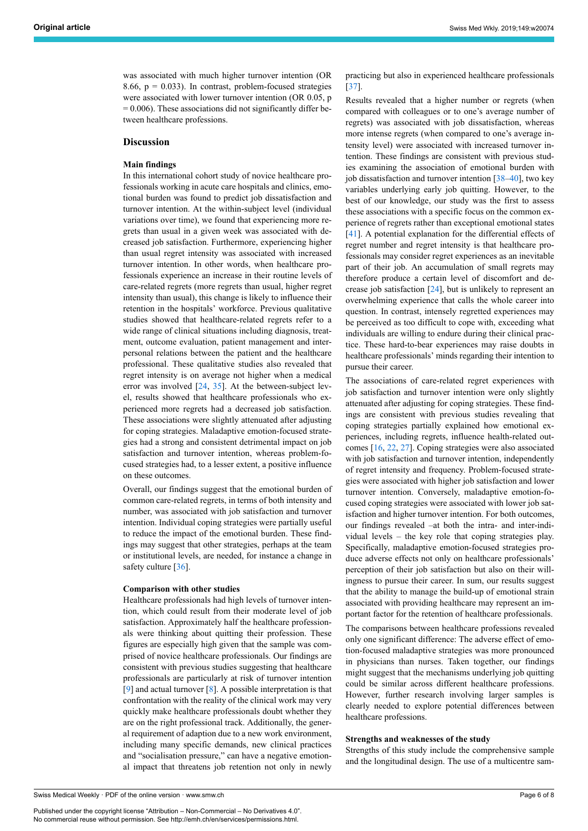was associated with much higher turnover intention (OR 8.66,  $p = 0.033$ ). In contrast, problem-focused strategies were associated with lower turnover intention (OR 0.05, p  $= 0.006$ ). These associations did not significantly differ between healthcare professions.

# **Discussion**

# **Main findings**

In this international cohort study of novice healthcare professionals working in acute care hospitals and clinics, emotional burden was found to predict job dissatisfaction and turnover intention. At the within-subject level (individual variations over time), we found that experiencing more regrets than usual in a given week was associated with decreased job satisfaction. Furthermore, experiencing higher than usual regret intensity was associated with increased turnover intention. In other words, when healthcare professionals experience an increase in their routine levels of care-related regrets (more regrets than usual, higher regret intensity than usual), this change is likely to influence their retention in the hospitals' workforce. Previous qualitative studies showed that healthcare-related regrets refer to a wide range of clinical situations including diagnosis, treatment, outcome evaluation, patient management and interpersonal relations between the patient and the healthcare professional. These qualitative studies also revealed that regret intensity is on average not higher when a medical error was involved [[24,](#page-7-8) [35\]](#page-7-18). At the between-subject level, results showed that healthcare professionals who experienced more regrets had a decreased job satisfaction. These associations were slightly attenuated after adjusting for coping strategies. Maladaptive emotion-focused strategies had a strong and consistent detrimental impact on job satisfaction and turnover intention, whereas problem-focused strategies had, to a lesser extent, a positive influence on these outcomes.

Overall, our findings suggest that the emotional burden of common care-related regrets, in terms of both intensity and number, was associated with job satisfaction and turnover intention. Individual coping strategies were partially useful to reduce the impact of the emotional burden. These findings may suggest that other strategies, perhaps at the team or institutional levels, are needed, for instance a change in safety culture [[36\]](#page-7-19).

#### **Comparison with other studies**

Healthcare professionals had high levels of turnover intention, which could result from their moderate level of job satisfaction. Approximately half the healthcare professionals were thinking about quitting their profession. These figures are especially high given that the sample was comprised of novice healthcare professionals. Our findings are consistent with previous studies suggesting that healthcare professionals are particularly at risk of turnover intention [[9](#page-6-8)] and actual turnover  $[8]$  $[8]$  $[8]$ . A possible interpretation is that confrontation with the reality of the clinical work may very quickly make healthcare professionals doubt whether they are on the right professional track. Additionally, the general requirement of adaption due to a new work environment, including many specific demands, new clinical practices and "socialisation pressure," can have a negative emotional impact that threatens job retention not only in newly practicing but also in experienced healthcare professionals [\[37](#page-7-20)].

Results revealed that a higher number or regrets (when compared with colleagues or to one's average number of regrets) was associated with job dissatisfaction, whereas more intense regrets (when compared to one's average intensity level) were associated with increased turnover intention. These findings are consistent with previous studies examining the association of emotional burden with job dissatisfaction and turnover intention  $[38-40]$  $[38-40]$  $[38-40]$ , two key variables underlying early job quitting. However, to the best of our knowledge, our study was the first to assess these associations with a specific focus on the common experience of regrets rather than exceptional emotional states [\[41](#page-7-23)]. A potential explanation for the differential effects of regret number and regret intensity is that healthcare professionals may consider regret experiences as an inevitable part of their job. An accumulation of small regrets may therefore produce a certain level of discomfort and decrease job satisfaction [[24\]](#page-7-8), but is unlikely to represent an overwhelming experience that calls the whole career into question. In contrast, intensely regretted experiences may be perceived as too difficult to cope with, exceeding what individuals are willing to endure during their clinical practice. These hard-to-bear experiences may raise doubts in healthcare professionals' minds regarding their intention to pursue their career.

The associations of care-related regret experiences with job satisfaction and turnover intention were only slightly attenuated after adjusting for coping strategies. These findings are consistent with previous studies revealing that coping strategies partially explained how emotional experiences, including regrets, influence health-related outcomes [\[16](#page-7-0), [22](#page-7-6), [27\]](#page-7-11). Coping strategies were also associated with job satisfaction and turnover intention, independently of regret intensity and frequency. Problem-focused strategies were associated with higher job satisfaction and lower turnover intention. Conversely, maladaptive emotion-focused coping strategies were associated with lower job satisfaction and higher turnover intention. For both outcomes, our findings revealed –at both the intra- and inter-individual levels – the key role that coping strategies play. Specifically, maladaptive emotion-focused strategies produce adverse effects not only on healthcare professionals' perception of their job satisfaction but also on their willingness to pursue their career. In sum, our results suggest that the ability to manage the build-up of emotional strain associated with providing healthcare may represent an important factor for the retention of healthcare professionals.

The comparisons between healthcare professions revealed only one significant difference: The adverse effect of emotion-focused maladaptive strategies was more pronounced in physicians than nurses. Taken together, our findings might suggest that the mechanisms underlying job quitting could be similar across different healthcare professions. However, further research involving larger samples is clearly needed to explore potential differences between healthcare professions.

# **Strengths and weaknesses of the study**

Strengths of this study include the comprehensive sample and the longitudinal design. The use of a multicentre sam-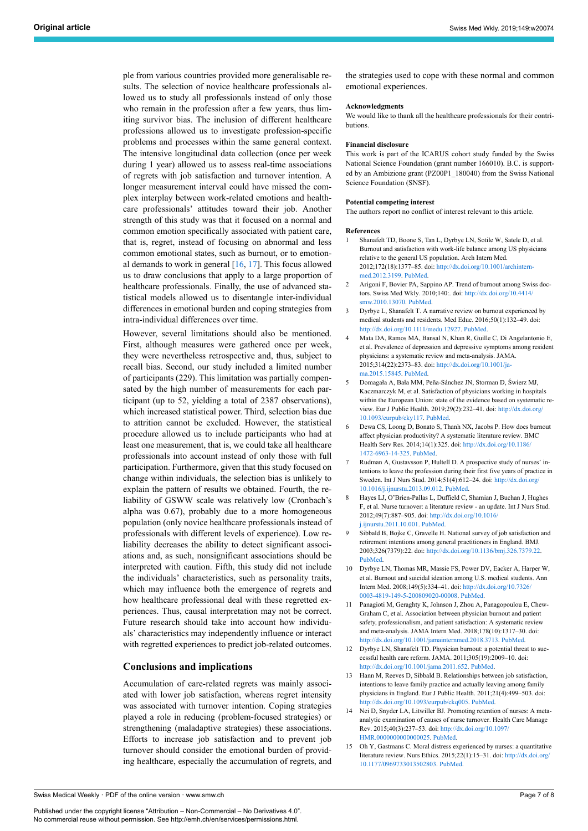ple from various countries provided more generalisable results. The selection of novice healthcare professionals allowed us to study all professionals instead of only those who remain in the profession after a few years, thus limiting survivor bias. The inclusion of different healthcare professions allowed us to investigate profession-specific problems and processes within the same general context. The intensive longitudinal data collection (once per week during 1 year) allowed us to assess real-time associations of regrets with job satisfaction and turnover intention. A longer measurement interval could have missed the complex interplay between work-related emotions and healthcare professionals' attitudes toward their job. Another strength of this study was that it focused on a normal and common emotion specifically associated with patient care, that is, regret, instead of focusing on abnormal and less common emotional states, such as burnout, or to emotional demands to work in general  $[16, 17]$  $[16, 17]$  $[16, 17]$  $[16, 17]$  $[16, 17]$ . This focus allowed us to draw conclusions that apply to a large proportion of healthcare professionals. Finally, the use of advanced statistical models allowed us to disentangle inter-individual differences in emotional burden and coping strategies from intra-individual differences over time.

<span id="page-6-7"></span><span id="page-6-6"></span><span id="page-6-5"></span><span id="page-6-4"></span><span id="page-6-3"></span><span id="page-6-2"></span><span id="page-6-1"></span><span id="page-6-0"></span>However, several limitations should also be mentioned. First, although measures were gathered once per week, they were nevertheless retrospective and, thus, subject to recall bias. Second, our study included a limited number of participants (229). This limitation was partially compensated by the high number of measurements for each participant (up to 52, yielding a total of 2387 observations), which increased statistical power. Third, selection bias due to attrition cannot be excluded. However, the statistical procedure allowed us to include participants who had at least one measurement, that is, we could take all healthcare professionals into account instead of only those with full participation. Furthermore, given that this study focused on change within individuals, the selection bias is unlikely to explain the pattern of results we obtained. Fourth, the reliability of GSWW scale was relatively low (Cronbach's alpha was 0.67), probably due to a more homogeneous population (only novice healthcare professionals instead of professionals with different levels of experience). Low reliability decreases the ability to detect significant associations and, as such, nonsignificant associations should be interpreted with caution. Fifth, this study did not include the individuals' characteristics, such as personality traits, which may influence both the emergence of regrets and how healthcare professional deal with these regretted experiences. Thus, causal interpretation may not be correct. Future research should take into account how individuals' characteristics may independently influence or interact with regretted experiences to predict job-related outcomes.

# <span id="page-6-12"></span><span id="page-6-11"></span><span id="page-6-10"></span><span id="page-6-9"></span><span id="page-6-8"></span>**Conclusions and implications**

<span id="page-6-14"></span><span id="page-6-13"></span>Accumulation of care-related regrets was mainly associated with lower job satisfaction, whereas regret intensity was associated with turnover intention. Coping strategies played a role in reducing (problem-focused strategies) or strengthening (maladaptive strategies) these associations. Efforts to increase job satisfaction and to prevent job turnover should consider the emotional burden of providing healthcare, especially the accumulation of regrets, and the strategies used to cope with these normal and common emotional experiences.

#### **Acknowledgments**

We would like to thank all the healthcare professionals for their contributions.

#### **Financial disclosure**

This work is part of the ICARUS cohort study funded by the Swiss National Science Foundation (grant number 166010). B.C. is supported by an Ambizione grant (PZ00P1\_180040) from the Swiss National Science Foundation (SNSF).

#### **Potential competing interest**

The authors report no conflict of interest relevant to this article.

#### **References**

- 1 Shanafelt TD, Boone S, Tan L, Dyrbye LN, Sotile W, Satele D, et al. Burnout and satisfaction with work-life balance among US physicians relative to the general US population. Arch Intern Med. 2012;172(18):1377–85. doi: [http://dx.doi.org/10.1001/archintern](http://dx.doi.org/10.1001/archinternmed.2012.3199)[med.2012.3199](http://dx.doi.org/10.1001/archinternmed.2012.3199). [PubMed.](http://www.ncbi.nlm.nih.gov/entrez/query.fcgi?cmd=Retrieve&db=PubMed&list_uids=22911330&dopt=Abstract)
- 2 Arigoni F, Bovier PA, Sappino AP. Trend of burnout among Swiss doctors. Swiss Med Wkly. 2010;140:. doi: [http://dx.doi.org/10.4414/](http://dx.doi.org/10.4414/smw.2010.13070) [smw.2010.13070](http://dx.doi.org/10.4414/smw.2010.13070). [PubMed.](http://www.ncbi.nlm.nih.gov/entrez/query.fcgi?cmd=Retrieve&db=PubMed&list_uids=20809437&dopt=Abstract)
- 3 Dyrbye L, Shanafelt T. A narrative review on burnout experienced by medical students and residents. Med Educ. 2016;50(1):132–49. doi: [http://dx.doi.org/10.1111/medu.12927.](http://dx.doi.org/10.1111/medu.12927) [PubMed.](http://www.ncbi.nlm.nih.gov/entrez/query.fcgi?cmd=Retrieve&db=PubMed&list_uids=26695473&dopt=Abstract)
- 4 Mata DA, Ramos MA, Bansal N, Khan R, Guille C, Di Angelantonio E, et al. Prevalence of depression and depressive symptoms among resident physicians: a systematic review and meta-analysis. JAMA. 2015;314(22):2373–83. doi: [http://dx.doi.org/10.1001/ja](http://dx.doi.org/10.1001/jama.2015.15845)[ma.2015.15845](http://dx.doi.org/10.1001/jama.2015.15845). [PubMed.](http://www.ncbi.nlm.nih.gov/entrez/query.fcgi?cmd=Retrieve&db=PubMed&list_uids=26647259&dopt=Abstract)
- 5 Domagała A, Bała MM, Peña-Sánchez JN, Storman D, Świerz MJ, Kaczmarczyk M, et al. Satisfaction of physicians working in hospitals within the European Union: state of the evidence based on systematic review. Eur J Public Health. 2019;29(2):232–41. doi: [http://dx.doi.org/](http://dx.doi.org/10.1093/eurpub/cky117) [10.1093/eurpub/cky117](http://dx.doi.org/10.1093/eurpub/cky117). [PubMed.](http://www.ncbi.nlm.nih.gov/entrez/query.fcgi?cmd=Retrieve&db=PubMed&list_uids=29992236&dopt=Abstract)
- 6 Dewa CS, Loong D, Bonato S, Thanh NX, Jacobs P. How does burnout affect physician productivity? A systematic literature review. BMC Health Serv Res. 2014;14(1):325. doi: [http://dx.doi.org/10.1186/](http://dx.doi.org/10.1186/1472-6963-14-325) [1472-6963-14-325.](http://dx.doi.org/10.1186/1472-6963-14-325) [PubMed](http://www.ncbi.nlm.nih.gov/entrez/query.fcgi?cmd=Retrieve&db=PubMed&list_uids=25066375&dopt=Abstract).
- 7 Rudman A, Gustavsson P, Hultell D. A prospective study of nurses' intentions to leave the profession during their first five years of practice in Sweden. Int J Nurs Stud. 2014;51(4):612–24. doi: [http://dx.doi.org/](http://dx.doi.org/10.1016/j.ijnurstu.2013.09.012) [10.1016/j.ijnurstu.2013.09.012.](http://dx.doi.org/10.1016/j.ijnurstu.2013.09.012) [PubMed.](http://www.ncbi.nlm.nih.gov/entrez/query.fcgi?cmd=Retrieve&db=PubMed&list_uids=24207027&dopt=Abstract)
- 8 Hayes LJ, O'Brien-Pallas L, Duffield C, Shamian J, Buchan J, Hughes F, et al. Nurse turnover: a literature review - an update. Int J Nurs Stud. 2012;49(7):887–905. doi: [http://dx.doi.org/10.1016/](http://dx.doi.org/10.1016/j.ijnurstu.2011.10.001) [j.ijnurstu.2011.10.001.](http://dx.doi.org/10.1016/j.ijnurstu.2011.10.001) [PubMed.](http://www.ncbi.nlm.nih.gov/entrez/query.fcgi?cmd=Retrieve&db=PubMed&list_uids=22019402&dopt=Abstract)
- 9 Sibbald B, Bojke C, Gravelle H. National survey of job satisfaction and retirement intentions among general practitioners in England. BMJ. 2003;326(7379):22. doi: <http://dx.doi.org/10.1136/bmj.326.7379.22>. [PubMed](http://www.ncbi.nlm.nih.gov/entrez/query.fcgi?cmd=Retrieve&db=PubMed&list_uids=12511457&dopt=Abstract).
- 10 Dyrbye LN, Thomas MR, Massie FS, Power DV, Eacker A, Harper W, et al. Burnout and suicidal ideation among U.S. medical students. Ann Intern Med. 2008;149(5):334–41. doi: [http://dx.doi.org/10.7326/](http://dx.doi.org/10.7326/0003-4819-149-5-200809020-00008) [0003-4819-149-5-200809020-00008](http://dx.doi.org/10.7326/0003-4819-149-5-200809020-00008). [PubMed](http://www.ncbi.nlm.nih.gov/entrez/query.fcgi?cmd=Retrieve&db=PubMed&list_uids=18765703&dopt=Abstract).
- 11 Panagioti M, Geraghty K, Johnson J, Zhou A, Panagopoulou E, Chew-Graham C, et al. Association between physician burnout and patient safety, professionalism, and patient satisfaction: A systematic review and meta-analysis. JAMA Intern Med. 2018;178(10):1317–30. doi: [http://dx.doi.org/10.1001/jamainternmed.2018.3713.](http://dx.doi.org/10.1001/jamainternmed.2018.3713) [PubMed.](http://www.ncbi.nlm.nih.gov/entrez/query.fcgi?cmd=Retrieve&db=PubMed&list_uids=30193239&dopt=Abstract)
- 12 Dyrbye LN, Shanafelt TD. Physician burnout: a potential threat to successful health care reform. JAMA. 2011;305(19):2009–10. doi: [http://dx.doi.org/10.1001/jama.2011.652.](http://dx.doi.org/10.1001/jama.2011.652) [PubMed.](http://www.ncbi.nlm.nih.gov/entrez/query.fcgi?cmd=Retrieve&db=PubMed&list_uids=21586718&dopt=Abstract)
- 13 Hann M, Reeves D, Sibbald B. Relationships between job satisfaction, intentions to leave family practice and actually leaving among family physicians in England. Eur J Public Health. 2011;21(4):499–503. doi: <http://dx.doi.org/10.1093/eurpub/ckq005>. [PubMed](http://www.ncbi.nlm.nih.gov/entrez/query.fcgi?cmd=Retrieve&db=PubMed&list_uids=20142402&dopt=Abstract).
- 14 Nei D, Snyder LA, Litwiller BJ. Promoting retention of nurses: A metaanalytic examination of causes of nurse turnover. Health Care Manage Rev. 2015;40(3):237–53. doi: [http://dx.doi.org/10.1097/](http://dx.doi.org/10.1097/HMR.0000000000000025) [HMR.0000000000000025](http://dx.doi.org/10.1097/HMR.0000000000000025). [PubMed.](http://www.ncbi.nlm.nih.gov/entrez/query.fcgi?cmd=Retrieve&db=PubMed&list_uids=24901298&dopt=Abstract)
- 15 Oh Y, Gastmans C. Moral distress experienced by nurses: a quantitative literature review. Nurs Ethics. 2015;22(1):15–31. doi: [http://dx.doi.org/](http://dx.doi.org/10.1177/0969733013502803) [10.1177/0969733013502803.](http://dx.doi.org/10.1177/0969733013502803) [PubMed](http://www.ncbi.nlm.nih.gov/entrez/query.fcgi?cmd=Retrieve&db=PubMed&list_uids=24091351&dopt=Abstract).